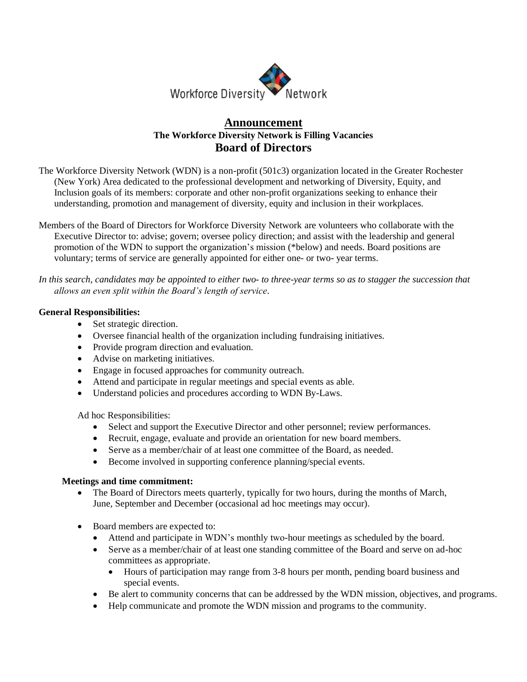

# **Announcement The Workforce Diversity Network is Filling Vacancies Board of Directors**

- The Workforce Diversity Network (WDN) is a non-profit (501c3) organization located in the Greater Rochester (New York) Area dedicated to the professional development and networking of Diversity, Equity, and Inclusion goals of its members: corporate and other non-profit organizations seeking to enhance their understanding, promotion and management of diversity, equity and inclusion in their workplaces.
- Members of the Board of Directors for Workforce Diversity Network are volunteers who collaborate with the Executive Director to: advise; govern; oversee policy direction; and assist with the leadership and general promotion of the WDN to support the organization's mission (\*below) and needs. Board positions are voluntary; terms of service are generally appointed for either one- or two- year terms.

*In this search, candidates may be appointed to either two- to three-year terms so as to stagger the succession that allows an even split within the Board's length of service.*

## **General Responsibilities:**

- Set strategic direction.
- Oversee financial health of the organization including fundraising initiatives.
- Provide program direction and evaluation.
- Advise on marketing initiatives.
- Engage in focused approaches for community outreach.
- Attend and participate in regular meetings and special events as able.
- Understand policies and procedures according to WDN By-Laws.

Ad hoc Responsibilities:

- Select and support the Executive Director and other personnel; review performances.
- Recruit, engage, evaluate and provide an orientation for new board members.
- Serve as a member/chair of at least one committee of the Board, as needed.
- Become involved in supporting conference planning/special events.

### **Meetings and time commitment:**

- The Board of Directors meets quarterly, typically for two hours, during the months of March, June, September and December (occasional ad hoc meetings may occur).
- Board members are expected to:
	- Attend and participate in WDN's monthly two-hour meetings as scheduled by the board.
	- Serve as a member/chair of at least one standing committee of the Board and serve on ad-hoc committees as appropriate.
		- Hours of participation may range from 3-8 hours per month, pending board business and special events.
	- Be alert to community concerns that can be addressed by the WDN mission, objectives, and programs.
	- Help communicate and promote the WDN mission and programs to the community.